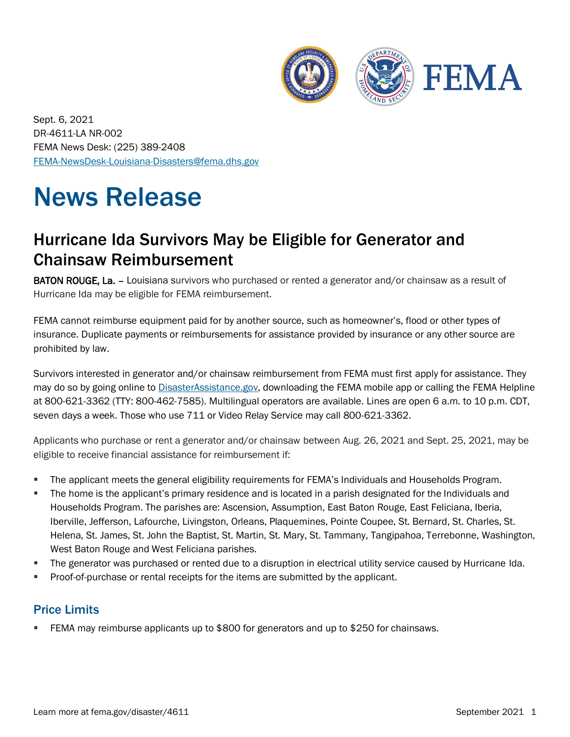

Sept. 6, 2021 DR-4611-LA NR-002 FEMA News Desk: (225) 389-2408 [FEMA-NewsDesk-Louisiana-Disasters@fema.dhs.gov](mailto:FEMA-NewsDesk-Louisiana-Disasters@fema.dhs.gov)

# News Release

## Hurricane Ida Survivors May be Eligible for Generator and Chainsaw Reimbursement

BATON ROUGE, La. - Louisiana survivors who purchased or rented a generator and/or chainsaw as a result of Hurricane Ida may be eligible for FEMA reimbursement.

FEMA cannot reimburse equipment paid for by another source, such as homeowner's, flood or other types of insurance. Duplicate payments or reimbursements for assistance provided by insurance or any other source are prohibited by law.

Survivors interested in generator and/or chainsaw reimbursement from FEMA must first apply for assistance. They may do so by going online to [DisasterAssistance.gov,](https://disasterassistance.gov/) downloading the FEMA mobile app or calling the FEMA Helpline at 800-621-3362 (TTY: 800-462-7585). Multilingual operators are available. Lines are open 6 a.m. to 10 p.m. CDT, seven days a week. Those who use 711 or Video Relay Service may call 800-621-3362.

Applicants who purchase or rent a generator and/or chainsaw between Aug. 26, 2021 and Sept. 25, 2021, may be eligible to receive financial assistance for reimbursement if:

- The applicant meets the general eligibility requirements for FEMA's Individuals and Households Program.
- The home is the applicant's primary residence and is located in a parish designated for the Individuals and Households Program. The parishes are: Ascension, Assumption, East Baton Rouge, East Feliciana, Iberia, Iberville, Jefferson, Lafourche, Livingston, Orleans, Plaquemines, Pointe Coupee, St. Bernard, St. Charles, St. Helena, St. James, St. John the Baptist, St. Martin, St. Mary, St. Tammany, Tangipahoa, Terrebonne, Washington, West Baton Rouge and West Feliciana parishes.
- The generator was purchased or rented due to a disruption in electrical utility service caused by Hurricane Ida.
- Proof-of-purchase or rental receipts for the items are submitted by the applicant.

#### Price Limits

EEMA may reimburse applicants up to \$800 for generators and up to \$250 for chainsaws.